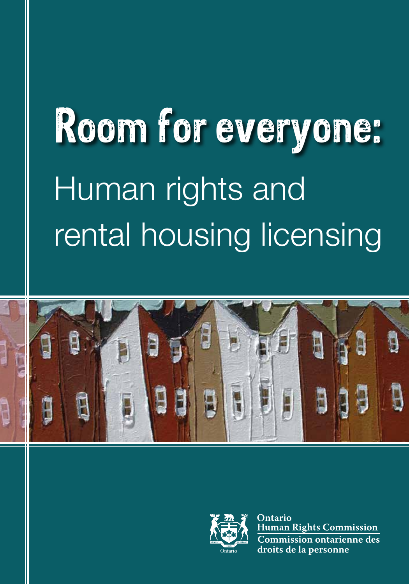# Room for everyone: Human rights and rental housing licensing





Ontario **Human Rights Commission Commission ontarienne des** droits de la personne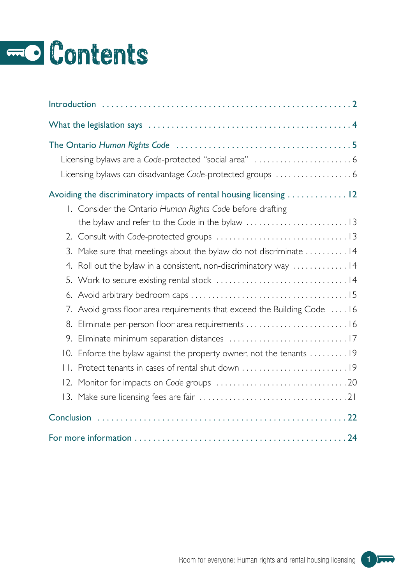## **EO** Contents

| Licensing bylaws can disadvantage Code-protected groups  6               |
|--------------------------------------------------------------------------|
| Avoiding the discriminatory impacts of rental housing licensing  12      |
| I. Consider the Ontario Human Rights Code before drafting                |
|                                                                          |
|                                                                          |
| 3.<br>Make sure that meetings about the bylaw do not discriminate 14     |
| Roll out the bylaw in a consistent, non-discriminatory way  14<br>4.     |
|                                                                          |
| 6.                                                                       |
| 7. Avoid gross floor area requirements that exceed the Building Code  16 |
| Eliminate per-person floor area requirements  16<br>8.                   |
| 9.                                                                       |
| Enforce the bylaw against the property owner, not the tenants  19<br>10. |
| $\mathbf{H}$ .                                                           |
| 12.                                                                      |
|                                                                          |
|                                                                          |
|                                                                          |

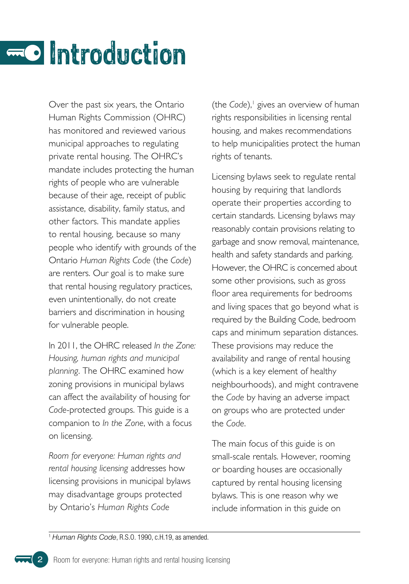## <span id="page-3-0"></span>Introduction

Over the past six years, the Ontario Human Rights Commission (OHRC) has monitored and reviewed various municipal approaches to regulating private rental housing . The OHRC's mandate includes protecting the human rights of people who are vulnerable because of their age, receipt of public assistance, disability, family status, and other factors. This mandate applies to rental housing, because so many people who identify with grounds of the Ontario *Human Rights Code* (the *Code*) are renters. Our goal is to make sure that rental housing regulatory practices, even unintentionally, do not create barriers and discrimination in housing for vulnerable people.

In 2011, the OHRC released *In the Zone: Housing, human rights and municipal planning* . The OHRC examined how zoning provisions in municipal bylaws can affect the availability of housing for *Code*-protected groups . This guide is a companion to *In the Zone*, with a focus on licensing.

*Room for everyone: Human rights and rental housing licensing* addresses how licensing provisions in municipal bylaws may disadvantage groups protected by Ontario's *Human Rights Code*

(the Code),<sup>1</sup> gives an overview of human rights responsibilities in licensing rental housing, and makes recommendations to help municipalities protect the human rights of tenants.

Licensing bylaws seek to regulate rental housing by requiring that landlords operate their properties according to certain standards. Licensing bylaws may reasonably contain provisions relating to garbage and snow removal, maintenance, health and safety standards and parking. However, the OHRC is concerned about some other provisions, such as gross floor area requirements for bedrooms and living spaces that go beyond what is required by the Building Code, bedroom caps and minimum separation distances . These provisions may reduce the availability and range of rental housing (which is a key element of healthy neighbourhoods), and might contravene the *Code* by having an adverse impact on groups who are protected under the *Code*.

The main focus of this guide is on small-scale rentals . However, rooming or boarding houses are occasionally captured by rental housing licensing bylaws . This is one reason why we include information in this guide on

<sup>1</sup> *Human Rights Code*, R.S.O. 1990, c.H.19, as amended.

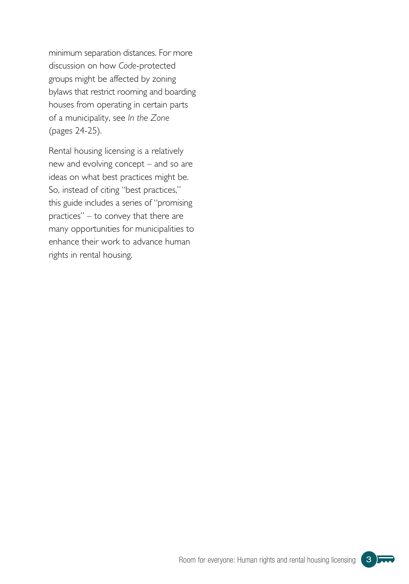minimum separation distances . For more discussion on how *Code*-protected groups might be affected by zoning bylaws that restrict rooming and boarding houses from operating in certain parts of a municipality, see *In the Zone* (pages 24-25) .

Rental housing licensing is a relatively new and evolving concept – and so are ideas on what best practices might be. So, instead of citing "best practices," this guide includes a series of "promising practices" – to convey that there are many opportunities for municipalities to enhance their work to advance human rights in rental housing.

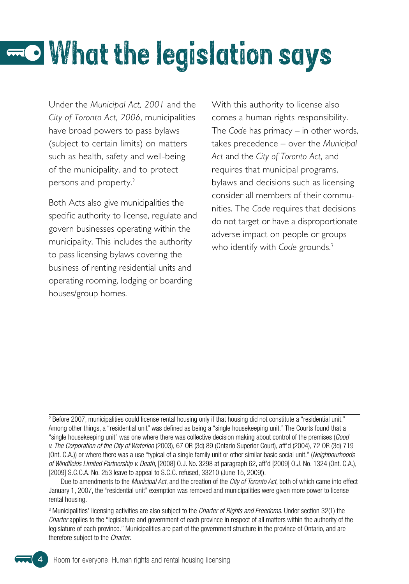## <span id="page-5-0"></span>What the legislation says

Under the *Municipal Act, 2001* and the *City of Toronto Act, 2006*, municipalities have broad powers to pass bylaws (subject to certain limits) on matters such as health, safety and well-being of the municipality, and to protect persons and property.<sup>2</sup>

Both Acts also give municipalities the specific authority to license, regulate and govern businesses operating within the municipality. This includes the authority to pass licensing bylaws covering the business of renting residential units and operating rooming, lodging or boarding houses/group homes.

With this authority to license also comes a human rights responsibility. The *Code* has primacy – in other words, takes precedence – over the *Municipal Act* and the *City of Toronto Act*, and requires that municipal programs, bylaws and decisions such as licensing consider all members of their communities . The *Code* requires that decisions do not target or have a disproportionate adverse impact on people or groups who identify with *Code* grounds.<sup>3</sup>

<sup>2</sup> Before 2007, municipalities could license rental housing only if that housing did not constitute a "residential unit." Among other things, a "residential unit" was defined as being a "single housekeeping unit." The Courts found that a "single housekeeping unit" was one where there was collective decision making about control of the premises (*Good v. The Corporation of the City of Waterloo* (2003), 67 OR (3d) 89 (Ontario Superior Court), aff'd (2004), 72 OR (3d) 719 (Ont. C.A.)) or where there was a use "typical of a single family unit or other similar basic social unit." (*Neighbourhoods of Windfields Limited Partnership v. Death*, [2008] O.J. No. 3298 at paragraph 62, aff'd [2009] O.J. No. 1324 (Ont. C.A.), [2009] S.C.C.A. No. 253 leave to appeal to S.C.C. refused, 33210 (June 15, 2009)).

Due to amendments to the *Municipal Act*, and the creation of the *City of Toronto Act*, both of which came into effect January 1, 2007, the "residential unit" exemption was removed and municipalities were given more power to license rental housing.

3 Municipalities' licensing activities are also subject to the *Charter of Rights and Freedoms*. Under section 32(1) the *Charter* applies to the "legislature and government of each province in respect of all matters within the authority of the legislature of each province." Municipalities are part of the government structure in the province of Ontario, and are therefore subject to the *Charter*.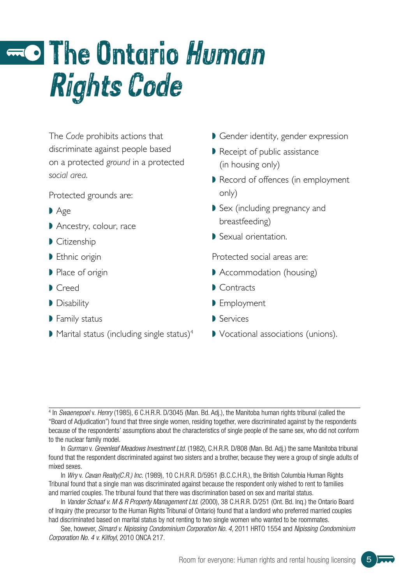## <span id="page-6-0"></span>The Ontario Human Rights Code

The *Code* prohibits actions that discriminate against people based on a protected *ground* in a protected *social area* .

Protected grounds are:

- $\blacktriangleright$  Age
- Ancestry, colour, race
- Citizenship
- Ethnic origin
- l Place of origin
- Creed
- Disability
- **Family status**
- $\blacktriangleright$  Marital status (including single status)<sup>4</sup>
- Gender identity, gender expression
- Receipt of public assistance (in housing only)
- Record of offences (in employment only)
- Sex (including pregnancy and breastfeeding)
- Sexual orientation.

Protected social areas are:

- Accommodation (housing)
- Contracts
- **D** Employment
- Services
- Vocational associations (unions).

In *Gurman* v. *Greenleaf Meadows Investment Ltd.* (1982), C.H.R.R. D/808 (Man. Bd. Adj.) the same Manitoba tribunal found that the respondent discriminated against two sisters and a brother, because they were a group of single adults of mixed sexes.

In *Wry* v. *Cavan Realty(C.R.) Inc.* (1989), 10 C.H.R.R. D/5951 (B.C.C.H.R.), the British Columbia Human Rights Tribunal found that a single man was discriminated against because the respondent only wished to rent to families and married couples. The tribunal found that there was discrimination based on sex and marital status.

In *Vander Schaaf v. M & R Property Management Ltd.* (2000), 38 C.H.R.R. D/251 (Ont. Bd. Inq.) the Ontario Board of Inquiry (the precursor to the Human Rights Tribunal of Ontario) found that a landlord who preferred married couples had discriminated based on marital status by not renting to two single women who wanted to be roommates.

See, however, *Simard v. Nipissing Condominium Corporation No. 4*, 2011 HRTO 1554 and *Nipissing Condominium Corporation No. 4 v. Kilfoyl*, 2010 ONCA 217.



<sup>4</sup> In *Swaenepoel* v. *Henry* (1985), 6 C.H.R.R. D/3045 (Man. Bd. Adj.), the Manitoba human rights tribunal (called the "Board of Adjudication") found that three single women, residing together, were discriminated against by the respondents because of the respondents' assumptions about the characteristics of single people of the same sex, who did not conform to the nuclear family model.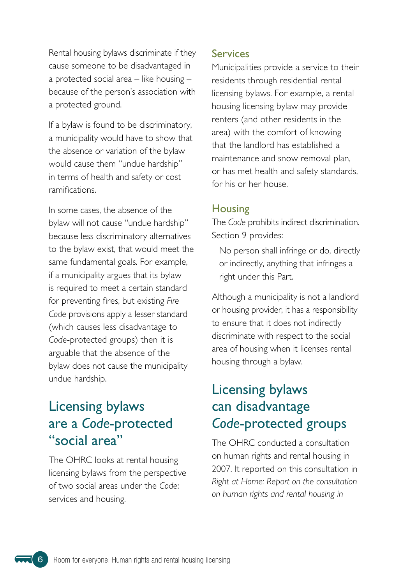<span id="page-7-0"></span>Rental housing bylaws discriminate if they cause someone to be disadvantaged in a protected social area – like housing – because of the person's association with a protected ground.

If a bylaw is found to be discriminatory, a municipality would have to show that the absence or variation of the bylaw would cause them "undue hardship" in terms of health and safety or cost ramifications .

In some cases, the absence of the bylaw will not cause "undue hardship" because less discriminatory alternatives to the bylaw exist, that would meet the same fundamental goals . For example, if a municipality argues that its bylaw is required to meet a certain standard for preventing fires, but existing *Fire Code* provisions apply a lesser standard (which causes less disadvantage to *Code*-protected groups) then it is arguable that the absence of the bylaw does not cause the municipality undue hardship.

## Licensing bylaws are a *Code*-protected "social area"

The OHRC looks at rental housing licensing bylaws from the perspective of two social areas under the *Code*: services and housing .

#### Services

Municipalities provide a service to their residents through residential rental licensing bylaws. For example, a rental housing licensing bylaw may provide renters (and other residents in the area) with the comfort of knowing that the landlord has established a maintenance and snow removal plan, or has met health and safety standards, for his or her house.

#### **Housing**

The *Code* prohibits indirect discrimination . Section 9 provides:

No person shall infringe or do, directly or indirectly, anything that infringes a right under this Part.

Although a municipality is not a landlord or housing provider, it has a responsibility to ensure that it does not indirectly discriminate with respect to the social area of housing when it licenses rental housing through a bylaw.

## Licensing bylaws can disadvantage *Code*-protected groups

The OHRC conducted a consultation on human rights and rental housing in 2007. It reported on this consultation in *Right at Home: Report on the consultation on human rights and rental housing in*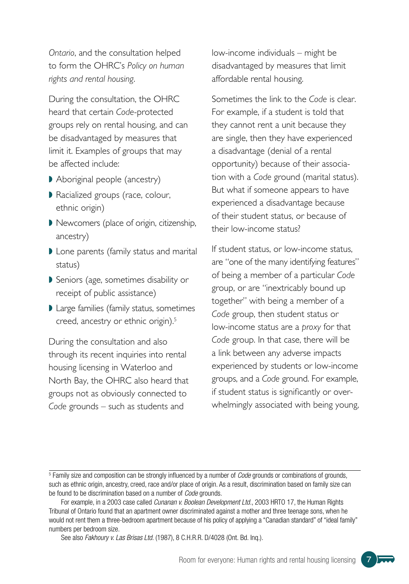*Ontario*, and the consultation helped to form the OHRC's *Policy on human rights and rental housing* .

During the consultation, the OHRC heard that certain *Code*-protected groups rely on rental housing, and can be disadvantaged by measures that limit it. Examples of groups that may be affected include:

- Aboriginal people (ancestry)
- Racialized groups (race, colour, ethnic origin)
- Newcomers (place of origin, citizenship, ancestry)
- I Lone parents (family status and marital status)
- Seniors (age, sometimes disability or receipt of public assistance)
- Large families (family status, sometimes creed, ancestry or ethnic origin).<sup>5</sup>

During the consultation and also through its recent inquiries into rental housing licensing in Waterloo and North Bay, the OHRC also heard that groups not as obviously connected to *Code* grounds – such as students and

low-income individuals – might be disadvantaged by measures that limit affordable rental housing.

Sometimes the link to the *Code* is clear . For example, if a student is told that they cannot rent a unit because they are single, then they have experienced a disadvantage (denial of a rental opportunity) because of their association with a *Code* ground (marital status) . But what if someone appears to have experienced a disadvantage because of their student status, or because of their low-income status?

If student status, or low-income status, are "one of the many identifying features" of being a member of a particular *Code* group, or are "inextricably bound up together" with being a member of a *Code* group, then student status or low-income status are a *proxy* for that Code group. In that case, there will be a link between any adverse impacts experienced by students or low-income groups, and a *Code* ground . For example, if student status is significantly or overwhelmingly associated with being young,



<sup>5</sup> Family size and composition can be strongly influenced by a number of *Code* grounds or combinations of grounds, such as ethnic origin, ancestry, creed, race and/or place of origin. As a result, discrimination based on family size can be found to be discrimination based on a number of *Code* grounds.

For example, in a 2003 case called *Cunanan v. Boolean Development Ltd.*, 2003 HRTO 17, the Human Rights Tribunal of Ontario found that an apartment owner discriminated against a mother and three teenage sons, when he would not rent them a three-bedroom apartment because of his policy of applying a "Canadian standard" of "ideal family" numbers per bedroom size.

See also *Fakhoury v. Las Brisas Ltd*. (1987), 8 C.H.R.R. D/4028 (Ont. Bd. Inq.).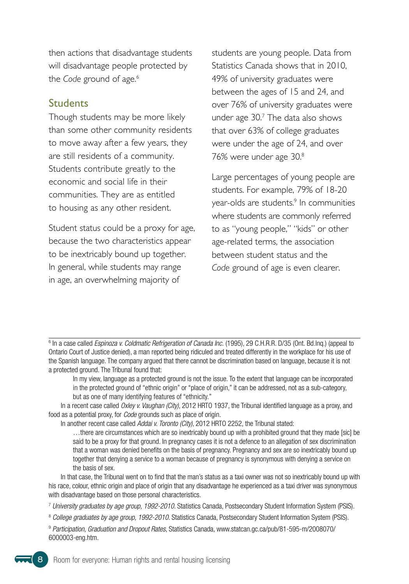then actions that disadvantage students will disadvantage people protected by the *Code* ground of age.<sup>6</sup>

#### **Students**

Though students may be more likely than some other community residents to move away after a few years, they are still residents of a community. Students contribute greatly to the economic and social life in their communities. They are as entitled to housing as any other resident.

Student status could be a proxy for age, because the two characteristics appear to be inextricably bound up together. In general, while students may range in age, an overwhelming majority of

students are young people. Data from Statistics Canada shows that in 2010, 49% of university graduates were between the ages of 15 and 24, and over 76% of university graduates were under age 30.7 The data also shows that over 63% of college graduates were under the age of 24, and over 76% were under age 30.8

Large percentages of young people are students. For example, 79% of 18-20 year-olds are students.<sup>9</sup> In communities where students are commonly referred to as "young people," "kids" or other age-related terms, the association between student status and the Code ground of age is even clearer.

<sup>6</sup> In a case called *Espinoza v. Coldmatic Refrigeration of Canada Inc.* (1995), 29 C.H.R.R. D/35 (Ont. Bd.Inq.) (appeal to Ontario Court of Justice denied), a man reported being ridiculed and treated differently in the workplace for his use of the Spanish language. The company argued that there cannot be discrimination based on language, because it is not a protected ground. The Tribunal found that:

In my view, language as a protected ground is not the issue. To the extent that language can be incorporated in the protected ground of "ethnic origin" or "place of origin," it can be addressed, not as a sub-category, but as one of many identifying features of "ethnicity."

In a recent case called *Oxley v. Vaughan (City)*, 2012 HRTO 1937, the Tribunal identified language as a proxy, and food as a potential proxy, for *Code* grounds such as place of origin.

In another recent case called *Addai v. Toronto (City)*, 2012 HRTO 2252, the Tribunal stated:

…there are circumstances which are so inextricably bound up with a prohibited ground that they made [sic] be said to be a proxy for that ground. In pregnancy cases it is not a defence to an allegation of sex discrimination that a woman was denied benefits on the basis of pregnancy. Pregnancy and sex are so inextricably bound up together that denying a service to a woman because of pregnancy is synonymous with denying a service on the basis of sex.

In that case, the Tribunal went on to find that the man's status as a taxi owner was not so inextricably bound up with his race, colour, ethnic origin and place of origin that any disadvantage he experienced as a taxi driver was synonymous with disadvantage based on those personal characteristics.

<sup>7</sup> *University graduates by age group, 1992-2010*. Statistics Canada, Postsecondary Student Information System (PSIS).

<sup>8</sup> *College graduates by age group, 1992-2010*. Statistics Canada, Postsecondary Student Information System (PSIS).

<sup>9</sup> *Participation, Graduation and Dropout Rates*[, Statistics Canada, www.statcan.gc.ca/pub/81-595-m/2008070/](http://www.statcan.gc.ca/pub/81-595-m/2008070/6000003-eng.htm) 6000003-eng.htm.

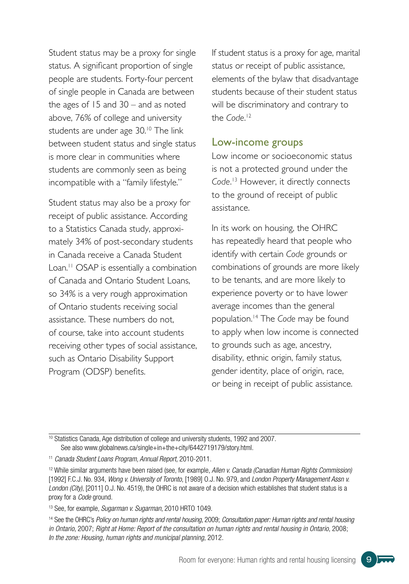Student status may be a proxy for single status . A significant proportion of single people are students. Forty-four percent of single people in Canada are between the ages of  $15$  and  $30 -$  and as noted above, 76% of college and university students are under age 30.<sup>10</sup> The link between student status and single status is more clear in communities where students are commonly seen as being incompatible with a "family lifestyle."

Student status may also be a proxy for receipt of public assistance. According to a Statistics Canada study, approximately 34% of post-secondary students in Canada receive a Canada Student Loan.<sup>11</sup> OSAP is essentially a combination of Canada and Ontario Student Loans, so 34% is a very rough approximation of Ontario students receiving social assistance. These numbers do not, of course, take into account students receiving other types of social assistance, such as Ontario Disability Support Program (ODSP) benefits.

If student status is a proxy for age, marital status or receipt of public assistance, elements of the bylaw that disadvantage students because of their student status will be discriminatory and contrary to the *Code*.<sup>12</sup>

#### Low-income groups

Low income or socioeconomic status is not a protected ground under the *Code* . <sup>13</sup> However, it directly connects to the ground of receipt of public assistance .

In its work on housing, the OHRC has repeatedly heard that people who identify with certain *Code* grounds or combinations of grounds are more likely to be tenants, and are more likely to experience poverty or to have lower average incomes than the general population .14 The *Code* may be found to apply when low income is connected to grounds such as age, ancestry, disability, ethnic origin, family status, gender identity, place of origin, race, or being in receipt of public assistance .

<sup>10</sup> Statistics Canada, Age distribution of college and university students, 1992 and 2007. See also [www.globalnews.ca/single+in+the+city/6442719179/story.html](http://www.globalnews.ca/single+in+the+city/6442719179/story.html).

13 See, for example, *Sugarman v. Sugarman*, 2010 HRTO 1049.

14 See the OHRC's *Policy on human rights and rental housing*, 2009; *Consultation paper: Human rights and rental housing in Ontario*, 2007; *Right at Home: Report of the consultation on human rights and rental housing in Ontario*, 2008; *In the zone: Housing, human rights and municipal planning*, 2012.



<sup>11</sup> *Canada Student Loans Program, Annual Report*, 2010-2011.

<sup>12</sup> While similar arguments have been raised (see, for example, *Allen v. Canada (Canadian Human Rights Commission)*  [1992] F.C.J. No. 934, *Wong v. University of Toronto*, [1989] O.J. No. 979, and *London Property Management Assn v. London (City)*, [2011] O.J. No. 4519), the OHRC is not aware of a decision which establishes that student status is a proxy for a *Code* ground.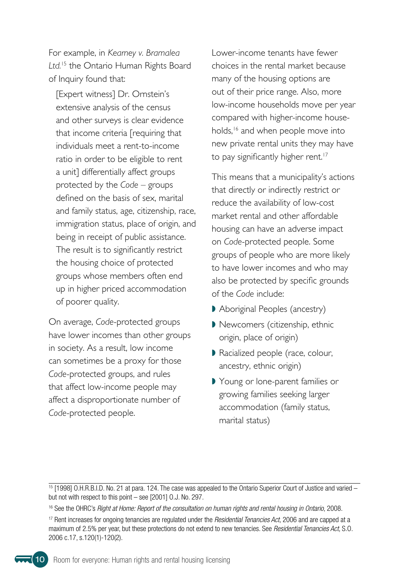For example, in *Kearney v. Bramalea Ltd.*<sup>15</sup> the Ontario Human Rights Board of Inquiry found that:

[Expert witness] Dr. Ornstein's extensive analysis of the census and other surveys is clear evidence that income criteria [requiring that individuals meet a rent-to-income ratio in order to be eligible to rent a unit] differentially affect groups protected by the *Code* – groups defined on the basis of sex, marital and family status, age, citizenship, race, immigration status, place of origin, and being in receipt of public assistance. The result is to significantly restrict the housing choice of protected groups whose members often end up in higher priced accommodation of poorer quality.

On average, *Code*-protected groups have lower incomes than other groups in society . As a result, low income can sometimes be a proxy for those *Code*-protected groups, and rules that affect low-income people may affect a disproportionate number of Code-protected people.

Lower-income tenants have fewer choices in the rental market because many of the housing options are out of their price range. Also, more low-income households move per year compared with higher-income households,<sup>16</sup> and when people move into new private rental units they may have to pay significantly higher rent.<sup>17</sup>

This means that a municipality's actions that directly or indirectly restrict or reduce the availability of low-cost market rental and other affordable housing can have an adverse impact on *Code*-protected people . Some groups of people who are more likely to have lower incomes and who may also be protected by specific grounds of the *Code* include:

- Aboriginal Peoples (ancestry)
- Newcomers (citizenship, ethnic origin, place of origin)
- Racialized people (race, colour, ancestry, ethnic origin)
- Young or lone-parent families or growing families seeking larger accommodation (family status, marital status)



<sup>15 [1998]</sup> O.H.R.B.I.D. No. 21 at para. 124. The case was appealed to the Ontario Superior Court of Justice and varied – but not with respect to this point – see [2001] O.J. No. 297.

<sup>16</sup> See the OHRC's *Right at Home: Report of the consultation on human rights and rental housing in Ontario*, 2008.

<sup>17</sup> Rent increases for ongoing tenancies are regulated under the *Residential Tenancies Act*, 2006 and are capped at a maximum of 2.5% per year, but these protections do not extend to new tenancies. See *Residential Tenancies Act*, S.O. 2006 c.17, s.120(1)-120(2).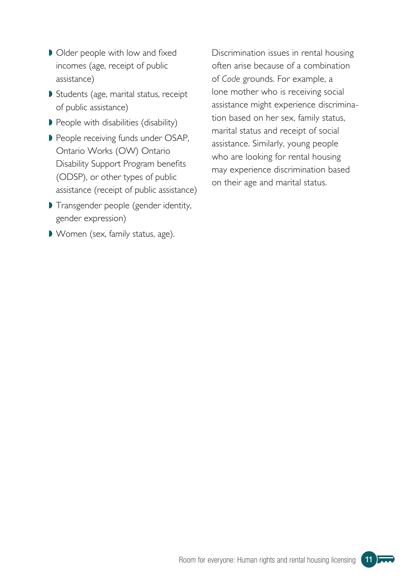- Older people with low and fixed incomes (age, receipt of public assistance)
- Students (age, marital status, receipt of public assistance)
- People with disabilities (disability)
- People receiving funds under OSAP, Ontario Works (OW) Ontario Disability Support Program benefits (ODSP), or other types of public assistance (receipt of public assistance)
- Transgender people (gender identity, gender expression)
- Women (sex, family status, age).

Discrimination issues in rental housing often arise because of a combination of *Code* grounds . For example, a lone mother who is receiving social assistance might experience discrimination based on her sex, family status, marital status and receipt of social assistance. Similarly, young people who are looking for rental housing may experience discrimination based on their age and marital status.

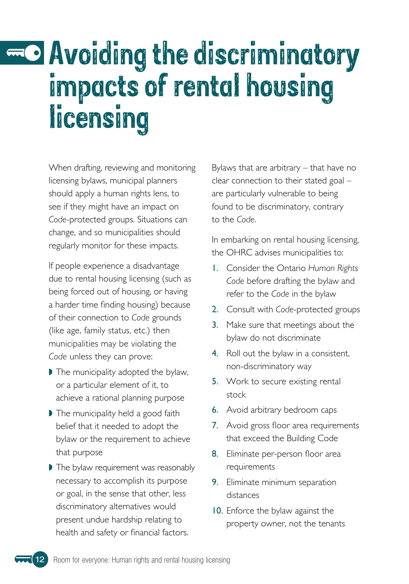## <span id="page-13-0"></span>Avoiding the discriminatory impacts of rental housing licensing

When drafting, reviewing and monitoring licensing bylaws, municipal planners should apply a human rights lens, to see if they might have an impact on Code-protected groups. Situations can change, and so municipalities should regularly monitor for these impacts.

If people experience a disadvantage due to rental housing licensing (such as being forced out of housing, or having a harder time finding housing) because of their connection to *Code* grounds (like age, family status, etc.) then municipalities may be violating the *Code* unless they can prove:

- If The municipality adopted the bylaw, or a particular element of it, to achieve a rational planning purpose
- If The municipality held a good faith belief that it needed to adopt the bylaw or the requirement to achieve that purpose
- I The bylaw requirement was reasonably necessary to accomplish its purpose or goal, in the sense that other, less discriminatory alternatives would present undue hardship relating to health and safety or financial factors.

Bylaws that are arbitrary – that have no clear connection to their stated goal – are particularly vulnerable to being found to be discriminatory, contrary to the *Code*.

In embarking on rental housing licensing, the OHRC advises municipalities to:

- 1 . Consider the Ontario *Human Rights Code* before drafting the bylaw and refer to the *Code* in the bylaw
- 2. Consult with *Code-protected groups*
- **3.** Make sure that meetings about the bylaw do not discriminate
- 4. Roll out the bylaw in a consistent, non-discriminatory way
- 5. Work to secure existing rental stock
- **6.** Avoid arbitrary bedroom caps
- 7. Avoid gross floor area requirements that exceed the Building Code
- 8. Eliminate per-person floor area requirements
- **9.** Eliminate minimum separation distances
- 10. Enforce the bylaw against the property owner, not the tenants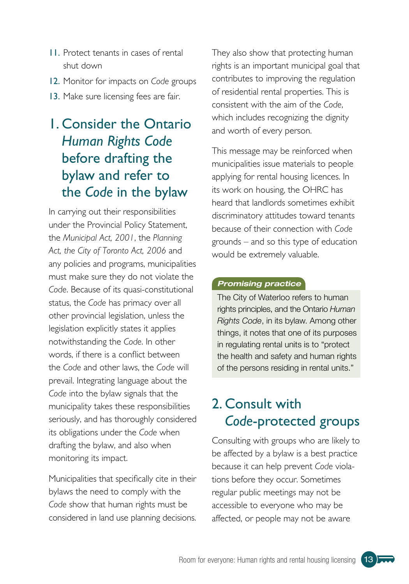- <span id="page-14-0"></span>11 . Protect tenants in cases of rental shut down
- 12 . Monitor for impacts on *Code* groups
- 13. Make sure licensing fees are fair.

## 1 . Consider the Ontario *Human Rights Code* before drafting the bylaw and refer to the *Code* in the bylaw

In carrying out their responsibilities under the Provincial Policy Statement, the *Municipal Act, 2001*, the *Planning Act, the City of Toronto Act, 2006* and any policies and programs, municipalities must make sure they do not violate the *Code* . Because of its quasi-constitutional status, the *Code* has primacy over all other provincial legislation, unless the legislation explicitly states it applies notwithstanding the *Code* . In other words, if there is a conflict between the *Code* and other laws, the *Code* will prevail. Integrating language about the *Code* into the bylaw signals that the municipality takes these responsibilities seriously, and has thoroughly considered its obligations under the *Code* when drafting the bylaw, and also when monitoring its impact.

Municipalities that specifically cite in their bylaws the need to comply with the *Code* show that human rights must be considered in land use planning decisions .

They also show that protecting human rights is an important municipal goal that contributes to improving the regulation of residential rental properties . This is consistent with the aim of the *Code*, which includes recognizing the dignity and worth of every person.

This message may be reinforced when municipalities issue materials to people applying for rental housing licences . In its work on housing, the OHRC has heard that landlords sometimes exhibit discriminatory attitudes toward tenants because of their connection with *Code* grounds – and so this type of education would be extremely valuable.

#### *Promising practice*

The City of Waterloo refers to human rights principles, and the Ontario *Human Rights Code*, in its bylaw. Among other things, it notes that one of its purposes in regulating rental units is to "protect the health and safety and human rights of the persons residing in rental units."

## 2. Consult with *Code*-protected groups

Consulting with groups who are likely to be affected by a bylaw is a best practice because it can help prevent *Code* violations before they occur. Sometimes regular public meetings may not be accessible to everyone who may be affected, or people may not be aware

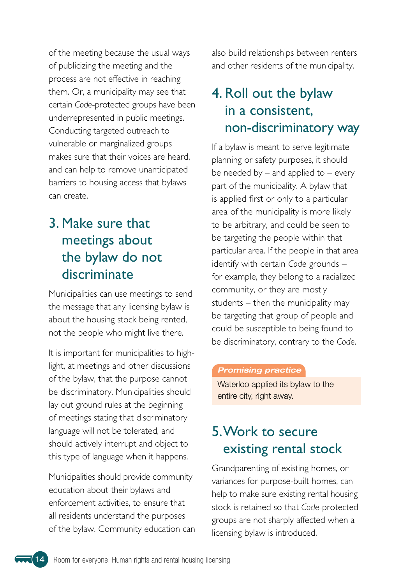<span id="page-15-0"></span>of the meeting because the usual ways of publicizing the meeting and the process are not effective in reaching them. Or, a municipality may see that certain *Code*-protected groups have been underrepresented in public meetings. Conducting targeted outreach to vulnerable or marginalized groups makes sure that their voices are heard, and can help to remove unanticipated barriers to housing access that bylaws can create.

## 3 . Make sure that meetings about the bylaw do not discriminate

Municipalities can use meetings to send the message that any licensing bylaw is about the housing stock being rented, not the people who might live there.

It is important for municipalities to highlight, at meetings and other discussions of the bylaw, that the purpose cannot be discriminatory . Municipalities should lay out ground rules at the beginning of meetings stating that discriminatory language will not be tolerated, and should actively interrupt and object to this type of language when it happens.

Municipalities should provide community education about their bylaws and enforcement activities, to ensure that all residents understand the purposes of the bylaw. Community education can also build relationships between renters and other residents of the municipality.

## 4. Roll out the bylaw in a consistent, non-discriminatory way

If a bylaw is meant to serve legitimate planning or safety purposes, it should be needed by  $-$  and applied to  $-$  every part of the municipality. A bylaw that is applied first or only to a particular area of the municipality is more likely to be arbitrary, and could be seen to be targeting the people within that particular area. If the people in that area identify with certain *Code* grounds – for example, they belong to a racialized community, or they are mostly students – then the municipality may be targeting that group of people and could be susceptible to being found to be discriminatory, contrary to the *Code* .

#### *Promising practice*

Waterloo applied its bylaw to the entire city, right away.

## 5 . Work to secure existing rental stock

Grandparenting of existing homes, or variances for purpose-built homes, can help to make sure existing rental housing stock is retained so that *Code*-protected groups are not sharply affected when a licensing bylaw is introduced.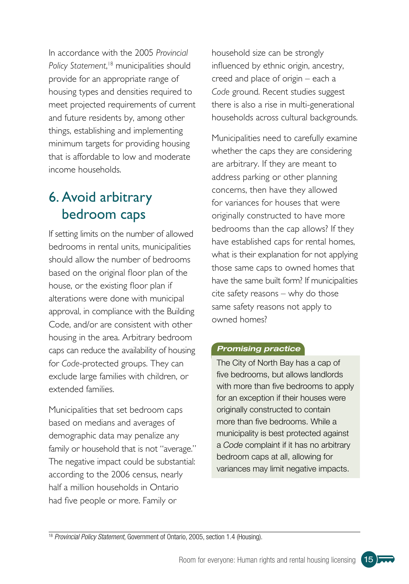<span id="page-16-0"></span>In accordance with the 2005 *Provincial Policy Statement*, <sup>18</sup> municipalities should provide for an appropriate range of housing types and densities required to meet projected requirements of current and future residents by, among other things, establishing and implementing minimum targets for providing housing that is affordable to low and moderate income households.

## 6. Avoid arbitrary bedroom caps

If setting limits on the number of allowed bedrooms in rental units, municipalities should allow the number of bedrooms based on the original floor plan of the house, or the existing floor plan if alterations were done with municipal approval, in compliance with the Building Code, and/or are consistent with other housing in the area . Arbitrary bedroom caps can reduce the availability of housing for *Code-protected* groups. They can exclude large families with children, or extended families.

Municipalities that set bedroom caps based on medians and averages of demographic data may penalize any family or household that is not "average." The negative impact could be substantial: according to the 2006 census, nearly half a million households in Ontario had five people or more. Family or

household size can be strongly influenced by ethnic origin, ancestry, creed and place of origin – each a Code ground. Recent studies suggest there is also a rise in multi-generational households across cultural backgrounds.

Municipalities need to carefully examine whether the caps they are considering are arbitrary. If they are meant to address parking or other planning concerns, then have they allowed for variances for houses that were originally constructed to have more bedrooms than the cap allows? If they have established caps for rental homes, what is their explanation for not applying those same caps to owned homes that have the same built form? If municipalities cite safety reasons – why do those same safety reasons not apply to owned homes?

#### *Promising practice*

The City of North Bay has a cap of five bedrooms, but allows landlords with more than five bedrooms to apply for an exception if their houses were originally constructed to contain more than five bedrooms. While a municipality is best protected against a *Code* complaint if it has no arbitrary bedroom caps at all, allowing for variances may limit negative impacts.

<sup>18</sup> *Provincial Policy Statement*, Government of Ontario, 2005, section 1.4 (Housing).

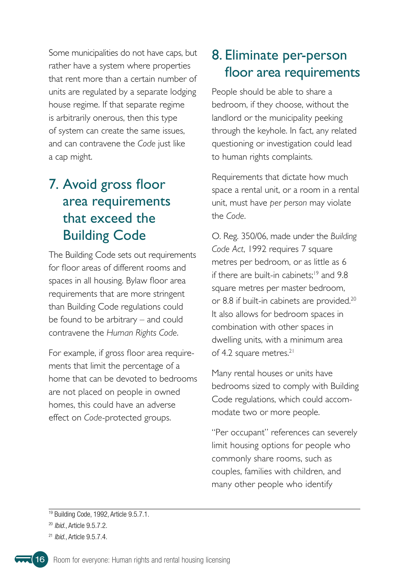<span id="page-17-0"></span>Some municipalities do not have caps, but rather have a system where properties that rent more than a certain number of units are regulated by a separate lodging house regime. If that separate regime is arbitrarily onerous, then this type of system can create the same issues, and can contravene the *Code* just like a cap might.

## 7. Avoid gross floor area requirements that exceed the Building Code

The Building Code sets out requirements for floor areas of different rooms and spaces in all housing. Bylaw floor area requirements that are more stringent than Building Code regulations could be found to be arbitrary – and could contravene the *Human Rights Code* .

For example, if gross floor area requirements that limit the percentage of a home that can be devoted to bedrooms are not placed on people in owned homes, this could have an adverse effect on *Code-protected* groups.

### 8. Eliminate per-person floor area requirements

People should be able to share a bedroom, if they choose, without the landlord or the municipality peeking through the keyhole. In fact, any related questioning or investigation could lead to human rights complaints.

Requirements that dictate how much space a rental unit, or a room in a rental unit, must have *per person* may violate the *Code*.

O . Reg . 350/06, made under the *Building Code Act*, 1992 requires 7 square metres per bedroom, or as little as 6 if there are built-in cabinets;<sup>19</sup> and 9.8 square metres per master bedroom, or 8.8 if built-in cabinets are provided.<sup>20</sup> It also allows for bedroom spaces in combination with other spaces in dwelling units, with a minimum area of 4.2 square metres.<sup>21</sup>

Many rental houses or units have bedrooms sized to comply with Building Code regulations, which could accommodate two or more people.

"Per occupant" references can severely limit housing options for people who commonly share rooms, such as couples, families with children, and many other people who identify



<sup>&</sup>lt;sup>19</sup> Building Code, 1992, Article 9.5.7.1.

<sup>20</sup> *Ibid*., Article 9.5.7.2.

<sup>21</sup> *Ibid*., Article 9.5.7.4.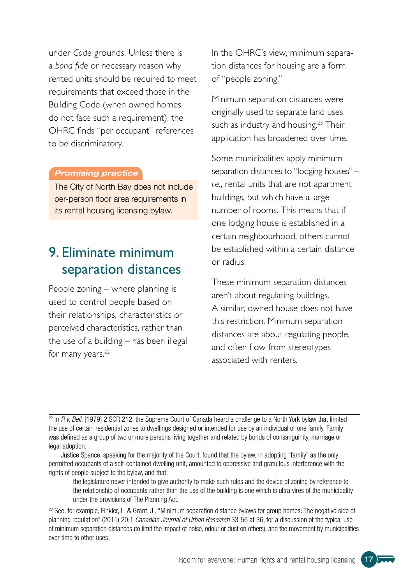<span id="page-18-0"></span>under *Code* grounds. Unless there is a *bona fide* or necessary reason why rented units should be required to meet requirements that exceed those in the Building Code (when owned homes do not face such a requirement), the OHRC finds "per occupant" references to be discriminatory.

#### *Promising practice*

The City of North Bay does not include per-person floor area requirements in its rental housing licensing bylaw.

### 9. Fliminate minimum separation distances

People zoning – where planning is used to control people based on their relationships, characteristics or perceived characteristics, rather than the use of a building – has been illegal for many years.<sup>22</sup>

In the OHRC's view, minimum separation distances for housing are a form of "people zoning."

Minimum separation distances were originally used to separate land uses such as industry and housing.<sup>23</sup> Their application has broadened over time.

Some municipalities apply minimum separation distances to "lodging houses" – *i.e.*, rental units that are not apartment buildings, but which have a large number of rooms. This means that if one lodging house is established in a certain neighbourhood, others cannot be established within a certain distance or radius .

These minimum separation distances aren't about regulating buildings. A similar, owned house does not have this restriction . Minimum separation distances are about regulating people, and often flow from stereotypes associated with renters.

 $22$  In *R v. Bell*, [1979] 2 SCR 212, the Supreme Court of Canada heard a challenge to a North York bylaw that limited the use of certain residential zones to dwellings designed or intended for use by an individual or one family. Family was defined as a group of two or more persons living together and related by bonds of consanguinity, marriage or legal adoption.

Justice Spence, speaking for the majority of the Court, found that the bylaw, in adopting "family" as the only permitted occupants of a self-contained dwelling unit, amounted to oppressive and gratuitous interference with the rights of people subject to the bylaw, and that:

the legislature never intended to give authority to make such rules and the device of zoning by reference to the relationship of occupants rather than the use of the building is one which is ultra vires of the municipality under the provisions of The Planning Act.

<sup>23</sup> See, for example, Finkler, L. & Grant, J., "Minimum separation distance bylaws for group homes: The negative side of planning regulation" (2011) 20:1 *Canadian Journal of Urban Research* 33-56 at 36, for a discussion of the typical use of minimum separation distances (to limit the impact of noise, odour or dust on others), and the movement by municipalities over time to other uses.

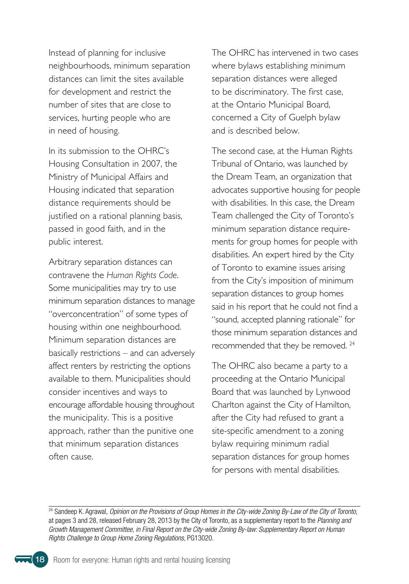Instead of planning for inclusive neighbourhoods, minimum separation distances can limit the sites available for development and restrict the number of sites that are close to services, hurting people who are in need of housing.

In its submission to the OHRC's Housing Consultation in 2007, the Ministry of Municipal Affairs and Housing indicated that separation distance requirements should be justified on a rational planning basis, passed in good faith, and in the public interest.

Arbitrary separation distances can contravene the *Human Rights Code* . Some municipalities may try to use minimum separation distances to manage "overconcentration" of some types of housing within one neighbourhood. Minimum separation distances are basically restrictions – and can adversely affect renters by restricting the options available to them. Municipalities should consider incentives and ways to encourage affordable housing throughout the municipality. This is a positive approach, rather than the punitive one that minimum separation distances often cause.

The OHRC has intervened in two cases where bylaws establishing minimum separation distances were alleged to be discriminatory. The first case, at the Ontario Municipal Board, concerned a City of Guelph bylaw and is described below.

The second case, at the Human Rights Tribunal of Ontario, was launched by the Dream Team, an organization that advocates supportive housing for people with disabilities. In this case, the Dream Team challenged the City of Toronto's minimum separation distance requirements for group homes for people with disabilities . An expert hired by the City of Toronto to examine issues arising from the City's imposition of minimum separation distances to group homes said in his report that he could not find a "sound, accepted planning rationale" for those minimum separation distances and recommended that they be removed.<sup>24</sup>

The OHRC also became a party to a proceeding at the Ontario Municipal Board that was launched by Lynwood Charlton against the City of Hamilton, after the City had refused to grant a site-specific amendment to a zoning bylaw requiring minimum radial separation distances for group homes for persons with mental disabilities.

24 Sandeep K. Agrawal, *Opinion on the Provisions of Group Homes in the City-wide Zoning By-Law of the City of Toronto*, at pages 3 and 28, released February 28, 2013 by the City of Toronto, as a supplementary report to the *Planning and Growth Management Committee, in Final Report on the City-wide Zoning By-law: Supplementary Report on Human Rights Challenge to Group Home Zoning Regulations*, PG13020.

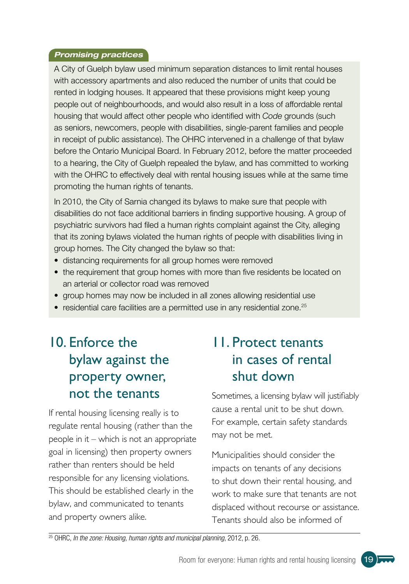#### <span id="page-20-0"></span>*Promising practices*

A City of Guelph bylaw used minimum separation distances to limit rental houses with accessory apartments and also reduced the number of units that could be rented in lodging houses. It appeared that these provisions might keep young people out of neighbourhoods, and would also result in a loss of affordable rental housing that would affect other people who identified with *Code* grounds (such as seniors, newcomers, people with disabilities, single-parent families and people in receipt of public assistance). The OHRC intervened in a challenge of that bylaw before the Ontario Municipal Board. In February 2012, before the matter proceeded to a hearing, the City of Guelph repealed the bylaw, and has committed to working with the OHRC to effectively deal with rental housing issues while at the same time promoting the human rights of tenants.

In 2010, the City of Sarnia changed its bylaws to make sure that people with disabilities do not face additional barriers in finding supportive housing. A group of psychiatric survivors had filed a human rights complaint against the City, alleging that its zoning bylaws violated the human rights of people with disabilities living in group homes. The City changed the bylaw so that:

- distancing requirements for all group homes were removed
- the requirement that group homes with more than five residents be located on an arterial or collector road was removed
- group homes may now be included in all zones allowing residential use
- residential care facilities are a permitted use in any residential zone.<sup>25</sup>

## 10. Enforce the bylaw against the property owner, not the tenants

If rental housing licensing really is to regulate rental housing (rather than the people in it – which is not an appropriate goal in licensing) then property owners rather than renters should be held responsible for any licensing violations. This should be established clearly in the bylaw, and communicated to tenants and property owners alike.

### 11 . Protect tenants in cases of rental shut down

Sometimes, a licensing bylaw will justifiably cause a rental unit to be shut down. For example, certain safety standards may not be met.

Municipalities should consider the impacts on tenants of any decisions to shut down their rental housing, and work to make sure that tenants are not displaced without recourse or assistance. Tenants should also be informed of

25 OHRC, *In the zone: Housing, human rights and municipal planning*, 2012, p. 26.

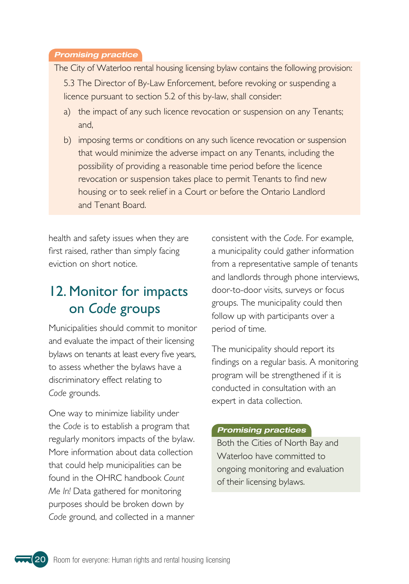#### <span id="page-21-0"></span>*Promising practice*

The City of Waterloo rental housing licensing bylaw contains the following provision:

5 .3 The Director of By-Law Enforcement, before revoking or suspending a licence pursuant to section 5.2 of this by-law, shall consider:

- a) the impact of any such licence revocation or suspension on any Tenants; and,
- b) imposing terms or conditions on any such licence revocation or suspension that would minimize the adverse impact on any Tenants, including the possibility of providing a reasonable time period before the licence revocation or suspension takes place to permit Tenants to find new housing or to seek relief in a Court or before the Ontario Landlord and Tenant Board.

health and safety issues when they are first raised, rather than simply facing eviction on short notice.

### 12. Monitor for impacts on *Code* groups

Municipalities should commit to monitor and evaluate the impact of their licensing bylaws on tenants at least every five years, to assess whether the bylaws have a discriminatory effect relating to Code grounds.

One way to minimize liability under the *Code* is to establish a program that regularly monitors impacts of the bylaw. More information about data collection that could help municipalities can be found in the OHRC handbook *Count Me In!* Data gathered for monitoring purposes should be broken down by *Code* ground, and collected in a manner

consistent with the *Code* . For example, a municipality could gather information from a representative sample of tenants and landlords through phone interviews, door-to-door visits, surveys or focus groups. The municipality could then follow up with participants over a period of time.

The municipality should report its findings on a regular basis. A monitoring program will be strengthened if it is conducted in consultation with an expert in data collection.

#### *Promising practices*

Both the Cities of North Bay and Waterloo have committed to ongoing monitoring and evaluation of their licensing bylaws.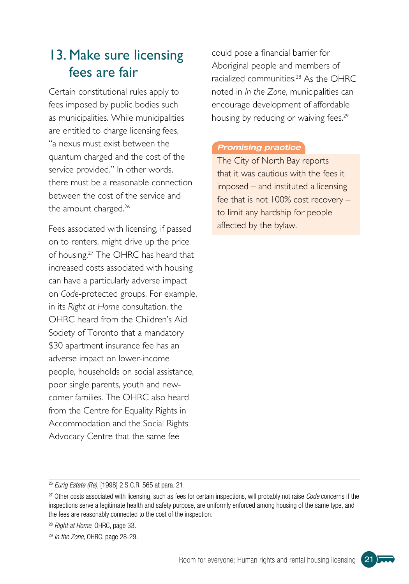## <span id="page-22-0"></span>13. Make sure licensing fees are fair

Certain constitutional rules apply to fees imposed by public bodies such as municipalities. While municipalities are entitled to charge licensing fees, "a nexus must exist between the quantum charged and the cost of the service provided." In other words, there must be a reasonable connection between the cost of the service and the amount charged.<sup>26</sup>

Fees associated with licensing, if passed on to renters, might drive up the price of housing.<sup>27</sup> The OHRC has heard that increased costs associated with housing can have a particularly adverse impact on *Code*-protected groups . For example, in its *Right at Home* consultation, the OHRC heard from the Children's Aid Society of Toronto that a mandatory \$30 apartment insurance fee has an adverse impact on lower-income people, households on social assistance, poor single parents, youth and newcomer families. The OHRC also heard from the Centre for Equality Rights in Accommodation and the Social Rights Advocacy Centre that the same fee

could pose a financial barrier for Aboriginal people and members of racialized communities.<sup>28</sup> As the OHRC noted in *In the Zone*, municipalities can encourage development of affordable housing by reducing or waiving fees.<sup>29</sup>

#### *Promising practice*

The City of North Bay reports that it was cautious with the fees it imposed – and instituted a licensing fee that is not 100% cost recovery – to limit any hardship for people affected by the bylaw.



<sup>26</sup> *Eurig Estate (Re)*, [1998] 2 S.C.R. 565 at para. 21.

<sup>27</sup> Other costs associated with licensing, such as fees for certain inspections, will probably not raise *Code* concerns if the inspections serve a legitimate health and safety purpose, are uniformly enforced among housing of the same type, and the fees are reasonably connected to the cost of the inspection.

<sup>28</sup> *Right at Home*, OHRC, page 33.

<sup>29</sup> *In the Zone*, OHRC, page 28-29.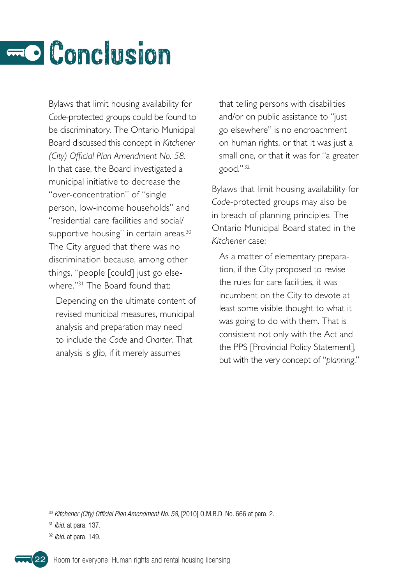## <span id="page-23-0"></span>**Conclusion**

Bylaws that limit housing availability for *Code*-protected groups could be found to be discriminatory. The Ontario Municipal Board discussed this concept in *Kitchener (City) Official Plan Amendment No. 58* . In that case, the Board investigated a municipal initiative to decrease the "over-concentration" of "single person, low-income households" and "residential care facilities and social/ supportive housing" in certain areas.<sup>30</sup> The City argued that there was no discrimination because, among other things, "people [could] just go elsewhere."<sup>31</sup> The Board found that:

Depending on the ultimate content of revised municipal measures, municipal analysis and preparation may need to include the *Code* and *Charter* . That analysis is glib, if it merely assumes

that telling persons with disabilities and/or on public assistance to "just go elsewhere" is no encroachment on human rights, or that it was just a small one, or that it was for "a greater good."<sup>32</sup>

Bylaws that limit housing availability for *Code*-protected groups may also be in breach of planning principles. The Ontario Municipal Board stated in the *Kitchener* case:

As a matter of elementary preparation, if the City proposed to revise the rules for care facilities, it was incumbent on the City to devote at least some visible thought to what it was going to do with them. That is consistent not only with the Act and the PPS [Provincial Policy Statement], but with the very concept of "*planning* ."

32 *Ibid*. at para. 149.



<sup>30</sup> *Kitchener (City) Official Plan Amendment No. 58*, [2010] O.M.B.D. No. 666 at para. 2.

<sup>31</sup> *Ibid*. at para. 137.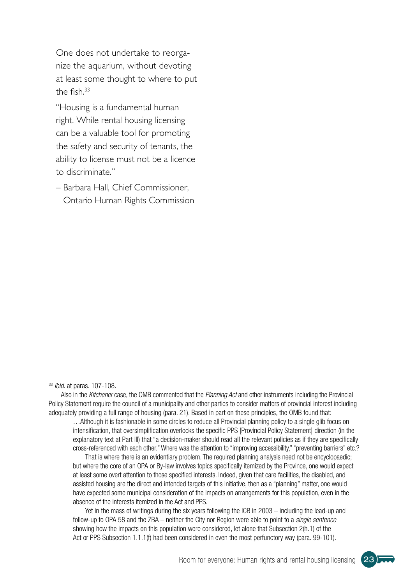One does not undertake to reorganize the aquarium, without devoting at least some thought to where to put the fish. $33$ 

"Housing is a fundamental human right. While rental housing licensing can be a valuable tool for promoting the safety and security of tenants, the ability to license must not be a licence to discriminate ."

– Barbara Hall, Chief Commissioner, Ontario Human Rights Commission

#### <sup>33</sup> *Ibid*. at paras. 107-108.

Also in the *Kitchener* case, the OMB commented that the *Planning Act* and other instruments including the Provincial Policy Statement require the council of a municipality and other parties to consider matters of provincial interest including adequately providing a full range of housing (para. 21). Based in part on these principles, the OMB found that:

…Although it is fashionable in some circles to reduce all Provincial planning policy to a single glib focus on intensification, that oversimplification overlooks the specific PPS [Provincial Policy Statement] direction (in the explanatory text at Part III) that "a decision-maker should read all the relevant policies as if they are specifically cross-referenced with each other." Where was the attention to "improving accessibility," "preventing barriers" etc.?

That is where there is an evidentiary problem. The required planning analysis need not be encyclopaedic; but where the core of an OPA or By-law involves topics specifically itemized by the Province, one would expect at least some overt attention to those specified interests. Indeed, given that care facilities, the disabled, and assisted housing are the direct and intended targets of this initiative, then as a "planning" matter, one would have expected some municipal consideration of the impacts on arrangements for this population, even in the absence of the interests itemized in the Act and PPS.

Yet in the mass of writings during the six years following the ICB in 2003 – including the lead-up and follow-up to OPA 58 and the ZBA – neither the City nor Region were able to point to a *single sentence* showing how the impacts on this population were considered, let alone that Subsection 2(h.1) of the Act or PPS Subsection 1.1.1(f) had been considered in even the most perfunctory way (para. 99-101).

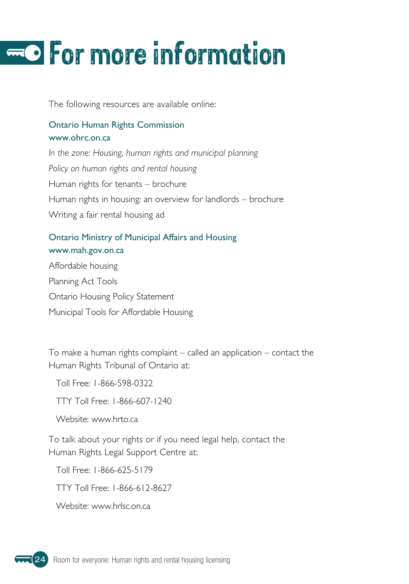## <span id="page-25-0"></span>For more information

The following resources are available online:

#### Ontario Human Rights Commission www.ohrc.on.ca

*In the zone: Housing, human rights and municipal planning Policy on human rights and rental housing* Human rights for tenants – brochure Human rights in housing: an overview for landlords – brochure Writing a fair rental housing ad

#### Ontario Ministry of Municipal Affairs and Housing www.mah.gov.on.ca

Affordable housing Planning Act Tools Ontario Housing Policy Statement Municipal Tools for Affordable Housing

To make a human rights complaint  $-$  called an application  $-$  contact the Human Rights Tribunal of Ontario at:

Toll Free: 1-866-598-0322

TTY Toll Free: 1-866-607-1240

Website: www.hrto.ca

To talk about your rights or if you need legal help, contact the Human Rights Legal Support Centre at:

Toll Free: 1-866-625-5179

TTY Toll Free: 1-866-612-8627

Website: www.hrlsc.on.ca